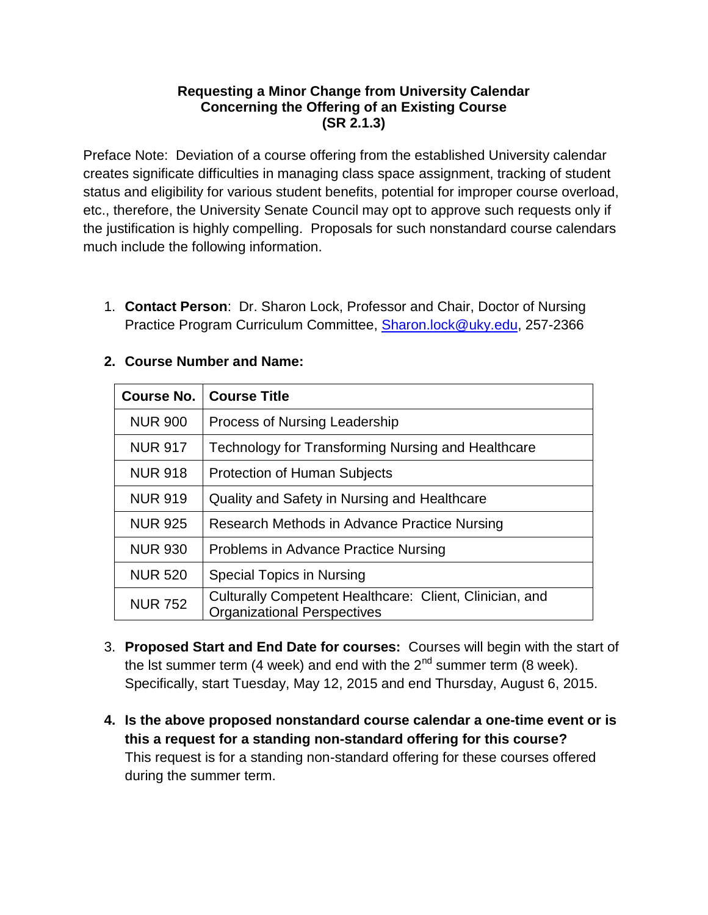## **Requesting a Minor Change from University Calendar Concerning the Offering of an Existing Course (SR 2.1.3)**

Preface Note: Deviation of a course offering from the established University calendar creates significate difficulties in managing class space assignment, tracking of student status and eligibility for various student benefits, potential for improper course overload, etc., therefore, the University Senate Council may opt to approve such requests only if the justification is highly compelling. Proposals for such nonstandard course calendars much include the following information.

1. **Contact Person**: Dr. Sharon Lock, Professor and Chair, Doctor of Nursing Practice Program Curriculum Committee, [Sharon.lock@uky.edu,](mailto:Sharon.lock@uky.edu) 257-2366

| <b>Course No.</b> | <b>Course Title</b>                                                                           |
|-------------------|-----------------------------------------------------------------------------------------------|
| <b>NUR 900</b>    | Process of Nursing Leadership                                                                 |
| <b>NUR 917</b>    | Technology for Transforming Nursing and Healthcare                                            |
| <b>NUR 918</b>    | <b>Protection of Human Subjects</b>                                                           |
| <b>NUR 919</b>    | Quality and Safety in Nursing and Healthcare                                                  |
| <b>NUR 925</b>    | Research Methods in Advance Practice Nursing                                                  |
| <b>NUR 930</b>    | Problems in Advance Practice Nursing                                                          |
| <b>NUR 520</b>    | <b>Special Topics in Nursing</b>                                                              |
| <b>NUR 752</b>    | Culturally Competent Healthcare: Client, Clinician, and<br><b>Organizational Perspectives</b> |

## **2. Course Number and Name:**

- 3. **Proposed Start and End Date for courses:** Courses will begin with the start of the lst summer term (4 week) and end with the  $2<sup>nd</sup>$  summer term (8 week). Specifically, start Tuesday, May 12, 2015 and end Thursday, August 6, 2015.
- **4. Is the above proposed nonstandard course calendar a one-time event or is this a request for a standing non-standard offering for this course?** This request is for a standing non-standard offering for these courses offered during the summer term.